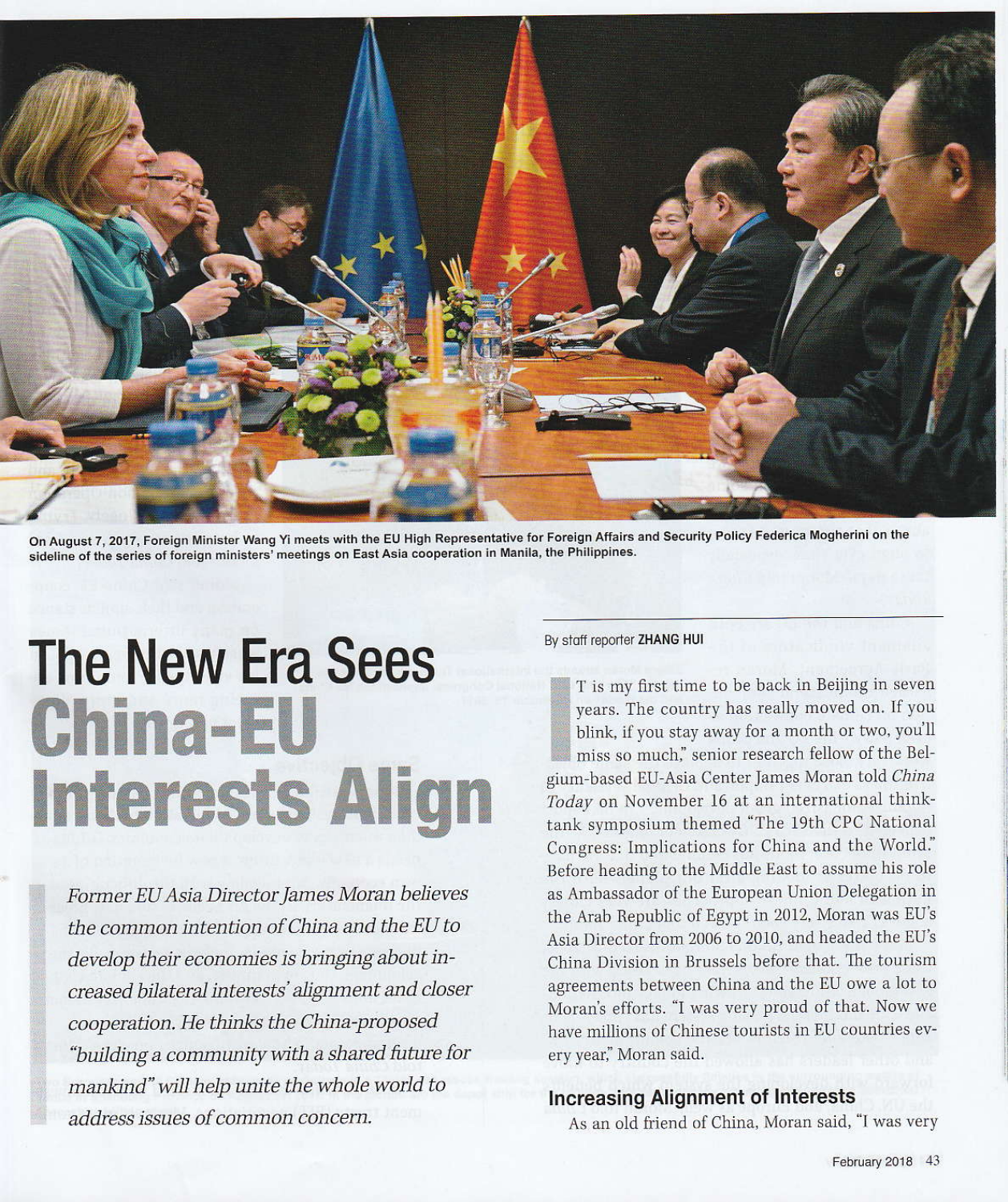

On August 7, 2017, Foreign Minister Wang Yi meets with the EU High Representative for Foreign Affairs and Security Policy Federica Mogherini on the sideline of the series of foreign ministers' meetings on East Asia cooperation in Manila, the Philippines.

## **The New Era Sees China-EU Interests Align**

Former EU Asia Director James Moran believes the common intention of China and the EU to develop their economies is bringing about increased bilateral interests' alignment and closer cooperation. He thinks the China-proposed "building a community with a shared future for mankind" will help unite the whole world to address issues of common concern.

By staff reporter ZHANG HUI

T is my first time to be back in Beijing in seven years. The country has really moved on. If you blink, if you stay away for a month or two, you'll miss so much," senior research fellow of the Belgium-based EU-Asia Center James Moran told China Today on November 16 at an international thinktank symposium themed "The 19th CPC National Congress: Implications for China and the World." Before heading to the Middle East to assume his role as Ambassador of the European Union Delegation in the Arab Republic of Egypt in 2012, Moran was EU's Asia Director from 2006 to 2010, and headed the EU's China Division in Brussels before that. The tourism agreements between China and the EU owe a lot to Moran's efforts. "I was very proud of that. Now we have millions of Chinese tourists in EU countries every year," Moran said.

## **Increasing Alignment of Interests**

As an old friend of China, Moran said, "I was very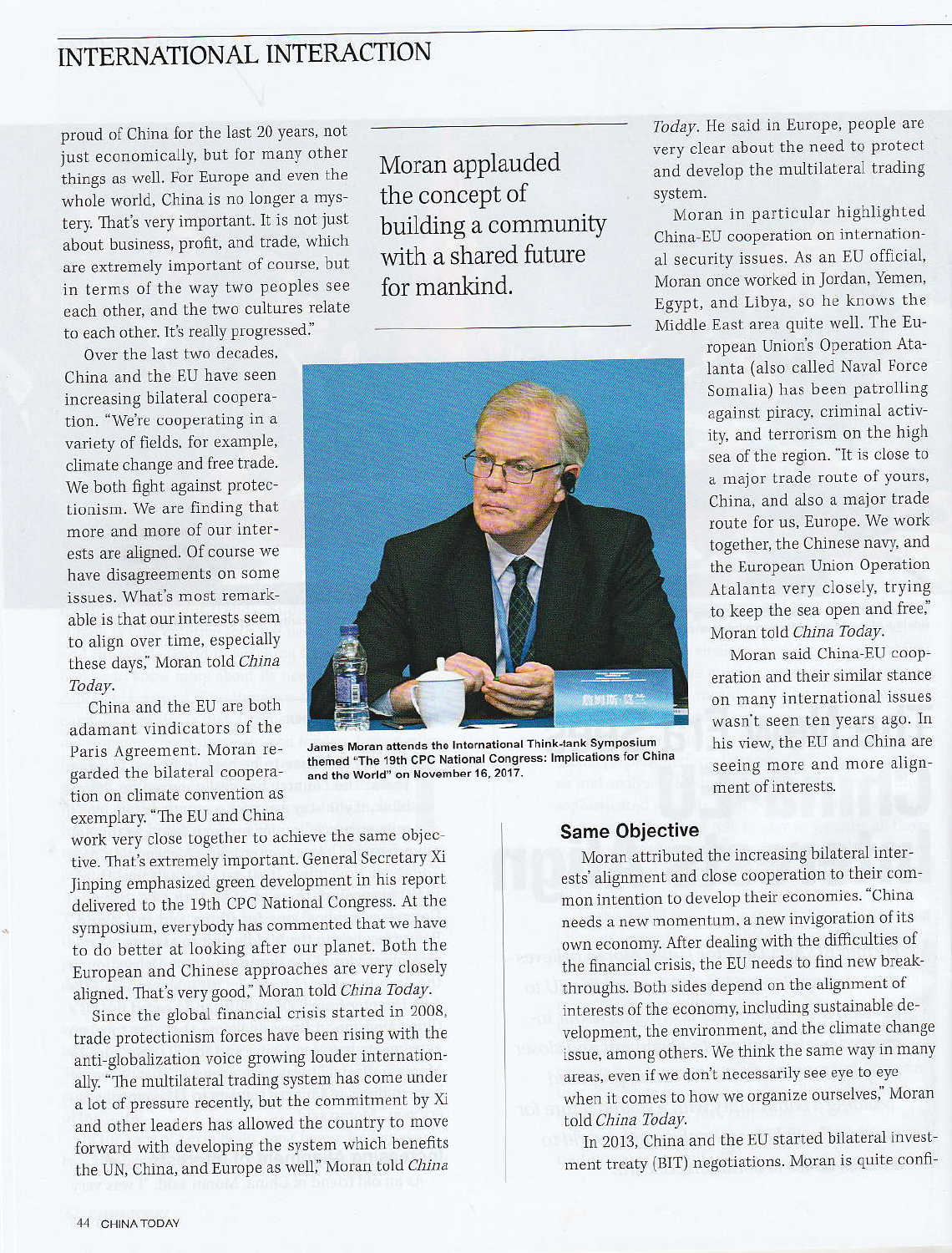## INTERNATIONAL INTERACTION

proud of China for the last 20 years, not just economically, but for many other things as well. For Europe and even the whole world, China is no longer a mystery. That's very important. It is not just about business, profit, and trade, which are extremely important of course, but in terms of the way two peoples see each other, and the two cultures relate to each other. It's really progressed."

Over the last two decades,

China and the EU have seen increasing bilateral cooperation. "We're cooperating in a variety of fields, for example, climate change and free trade. We both fight against protectionism. We are finding that more and more of our interests are aligned. Of course we have disagreements on some issues. What's most remarkable is that our interests seem to align over time, especially these days," Moran told China Today.

China and the EU are both adamant vindicators of the Paris Agreement. Moran regarded the bilateral cooperation on climate convention as exemplary. "The EU and China

work very close together to achieve the same objective. That's extremely important. General Secretary Xi Jinping emphasized green development in his report delivered to the 19th CPC National Congress. At the symposium, everybody has commented that we have to do better at looking after our planet. Both the European and Chinese approaches are very closely aligned. That's very good," Moran told China Today.

Since the global financial crisis started in 2008, trade protectionism forces have been rising with the anti-globalization voice growing louder internationally. "The multilateral trading system has come under a lot of pressure recently, but the commitment by Xi and other leaders has allowed the country to move forward with developing the system which benefits the UN, China, and Europe as well," Moran told China

Moran applauded the concept of building a community with a shared future for mankind.



James Moran attends the International Think-tank Symposium themed "The 19th CPC National Congress: Implications for China and the World" on November 16, 2017.

Today. He said in Europe, people are very clear about the need to protect and develop the multilateral trading system.

Moran in particular highlighted China-EU cooperation on international security issues. As an EU official, Moran once worked in Jordan, Yemen, Egypt, and Libya, so he knows the Middle East area quite well. The Eu-

> ropean Union's Operation Atalanta (also called Naval Force Somalia) has been patrolling against piracy, criminal activity, and terrorism on the high sea of the region. "It is close to a major trade route of yours, China, and also a major trade route for us, Europe. We work together, the Chinese navy, and the European Union Operation Atalanta very closely, trying to keep the sea open and free," Moran told China Today.

Moran said China-EU cooperation and their similar stance on many international issues wasn't seen ten years ago. In his view, the EU and China are seeing more and more alignment of interests.

## **Same Objective**

Moran attributed the increasing bilateral interests' alignment and close cooperation to their common intention to develop their economies. "China needs a new momentum, a new invigoration of its own economy. After dealing with the difficulties of the financial crisis, the EU needs to find new breakthroughs. Both sides depend on the alignment of interests of the economy, including sustainable development, the environment, and the climate change issue, among others. We think the same way in many areas, even if we don't necessarily see eye to eye when it comes to how we organize ourselves," Moran told China Today.

In 2013, China and the EU started bilateral investment treaty (BIT) negotiations. Moran is quite confi